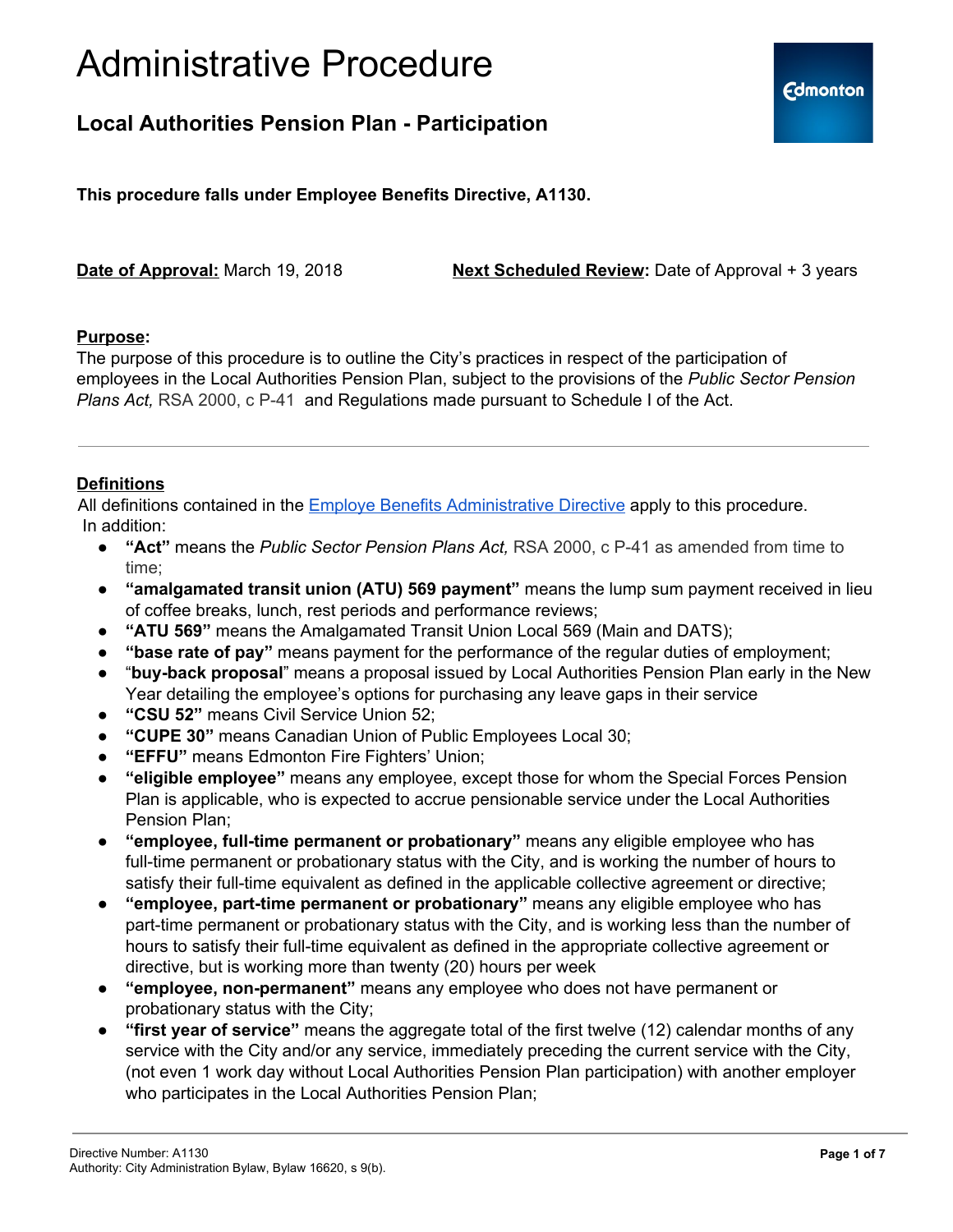

### **Local Authorities Pension Plan - Participation**

**This procedure falls under Employee Benefits Directive, A1130.**

**Date of Approval:** March 19, 2018 **Next Scheduled Review:** Date of Approval + 3 years

#### **Purpose:**

The purpose of this procedure is to outline the City's practices in respect of the participation of employees in the Local Authorities Pension Plan, subject to the provisions of the *Public Sector Pension Plans Act,* RSA 2000, c P-41 and Regulations made pursuant to Schedule I of the Act.

### **Definitions**

All definitions contained in the Employe Benefits [Administrative](https://docs.google.com/document/d/1LU6Sd8nCa-AYnbvi2lD1rp_cHf-c2u7mRFArkAcBSa8/edit) Directive apply to this procedure. In addition:

- **"Act"** means the *Public Sector Pension Plans Act,* RSA 2000, c P-41 as amended from time to time;
- **"amalgamated transit union (ATU) 569 payment"** means the lump sum payment received in lieu of coffee breaks, lunch, rest periods and performance reviews;
- **"ATU 569"** means the Amalgamated Transit Union Local 569 (Main and DATS);
- **"base rate of pay"** means payment for the performance of the regular duties of employment;
- "**buy-back proposal**" means a proposal issued by Local Authorities Pension Plan early in the New Year detailing the employee's options for purchasing any leave gaps in their service
- **"CSU 52"** means Civil Service Union 52;
- "CUPE 30" means Canadian Union of Public Employees Local 30;
- "**EFFU**" means Edmonton Fire Fighters' Union;
- **"eligible employee"** means any employee, except those for whom the Special Forces Pension Plan is applicable, who is expected to accrue pensionable service under the Local Authorities Pension Plan;
- **"employee, full-time permanent or probationary"** means any eligible employee who has full-time permanent or probationary status with the City, and is working the number of hours to satisfy their full-time equivalent as defined in the applicable collective agreement or directive;
- **"employee, part-time permanent or probationary"** means any eligible employee who has part-time permanent or probationary status with the City, and is working less than the number of hours to satisfy their full-time equivalent as defined in the appropriate collective agreement or directive, but is working more than twenty (20) hours per week
- **"employee, non-permanent"** means any employee who does not have permanent or probationary status with the City;
- **"first year of service"** means the aggregate total of the first twelve (12) calendar months of any service with the City and/or any service, immediately preceding the current service with the City, (not even 1 work day without Local Authorities Pension Plan participation) with another employer who participates in the Local Authorities Pension Plan;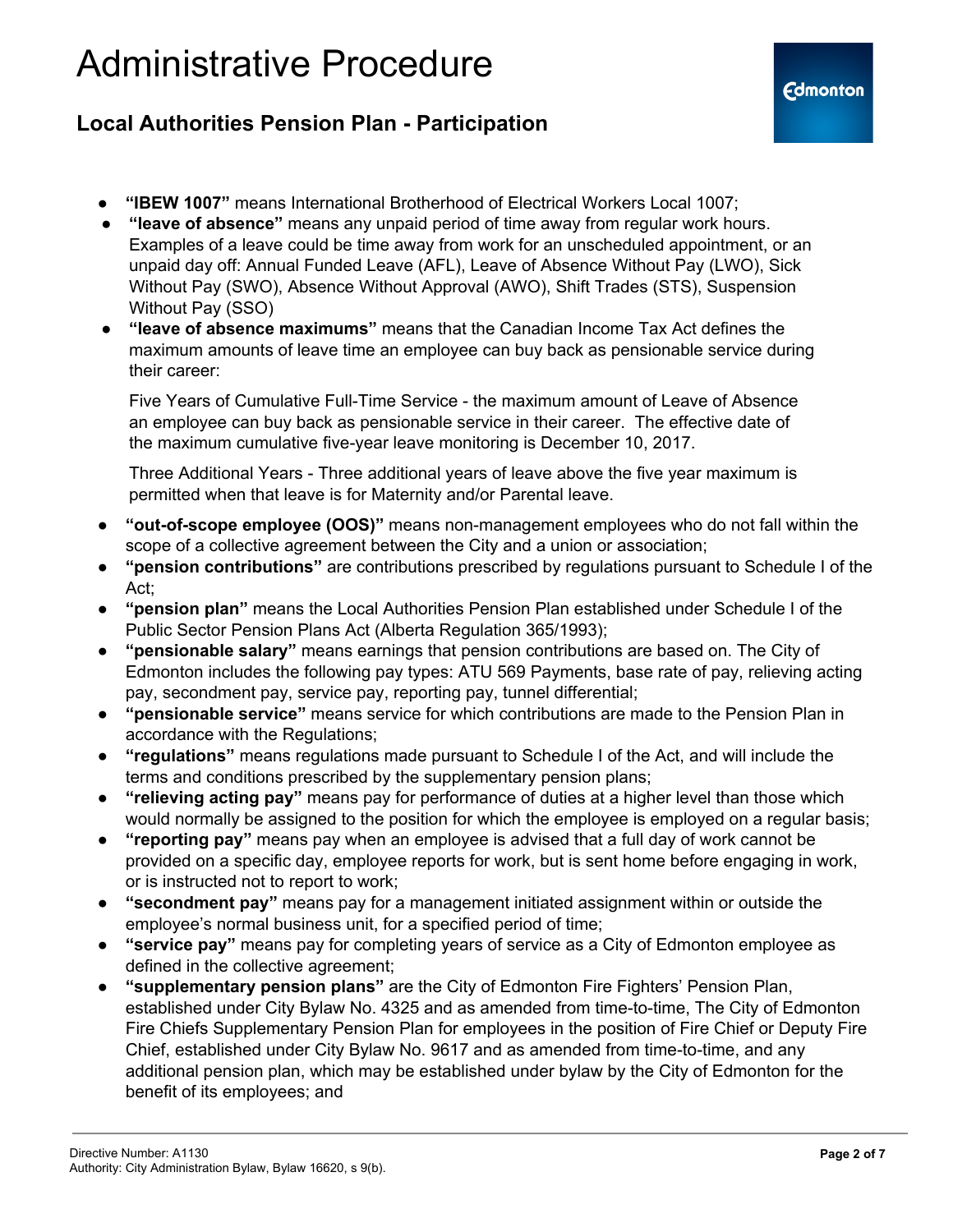### **Local Authorities Pension Plan - Participation**

- **"IBEW 1007"** means International Brotherhood of Electrical Workers Local 1007;
- **"leave of absence"** means any unpaid period of time away from regular work hours. Examples of a leave could be time away from work for an unscheduled appointment, or an unpaid day off: Annual Funded Leave (AFL), Leave of Absence Without Pay (LWO), Sick Without Pay (SWO), Absence Without Approval (AWO), Shift Trades (STS), Suspension Without Pay (SSO)
- **"leave of absence maximums"** means that the Canadian Income Tax Act defines the maximum amounts of leave time an employee can buy back as pensionable service during their career:

Five Years of Cumulative Full-Time Service - the maximum amount of Leave of Absence an employee can buy back as pensionable service in their career. The effective date of the maximum cumulative five-year leave monitoring is December 10, 2017.

Three Additional Years - Three additional years of leave above the five year maximum is permitted when that leave is for Maternity and/or Parental leave.

- **"out-of-scope employee (OOS)"** means non-management employees who do not fall within the scope of a collective agreement between the City and a union or association;
- **"pension contributions"** are contributions prescribed by regulations pursuant to Schedule I of the Act;
- **"pension plan"** means the Local Authorities Pension Plan established under Schedule I of the Public Sector Pension Plans Act (Alberta Regulation 365/1993);
- **"pensionable salary"** means earnings that pension contributions are based on. The City of Edmonton includes the following pay types: ATU 569 Payments, base rate of pay, relieving acting pay, secondment pay, service pay, reporting pay, tunnel differential;
- **"pensionable service"** means service for which contributions are made to the Pension Plan in accordance with the Regulations;
- **"regulations"** means regulations made pursuant to Schedule I of the Act, and will include the terms and conditions prescribed by the supplementary pension plans;
- **"relieving acting pay"** means pay for performance of duties at a higher level than those which would normally be assigned to the position for which the employee is employed on a regular basis;
- **"reporting pay"** means pay when an employee is advised that a full day of work cannot be provided on a specific day, employee reports for work, but is sent home before engaging in work, or is instructed not to report to work;
- **"secondment pay"** means pay for a management initiated assignment within or outside the employee's normal business unit, for a specified period of time;
- **"service pay"** means pay for completing years of service as a City of Edmonton employee as defined in the collective agreement;
- **"supplementary pension plans"** are the City of Edmonton Fire Fighters' Pension Plan, established under City Bylaw No. 4325 and as amended from time-to-time, The City of Edmonton Fire Chiefs Supplementary Pension Plan for employees in the position of Fire Chief or Deputy Fire Chief, established under City Bylaw No. 9617 and as amended from time-to-time, and any additional pension plan, which may be established under bylaw by the City of Edmonton for the benefit of its employees; and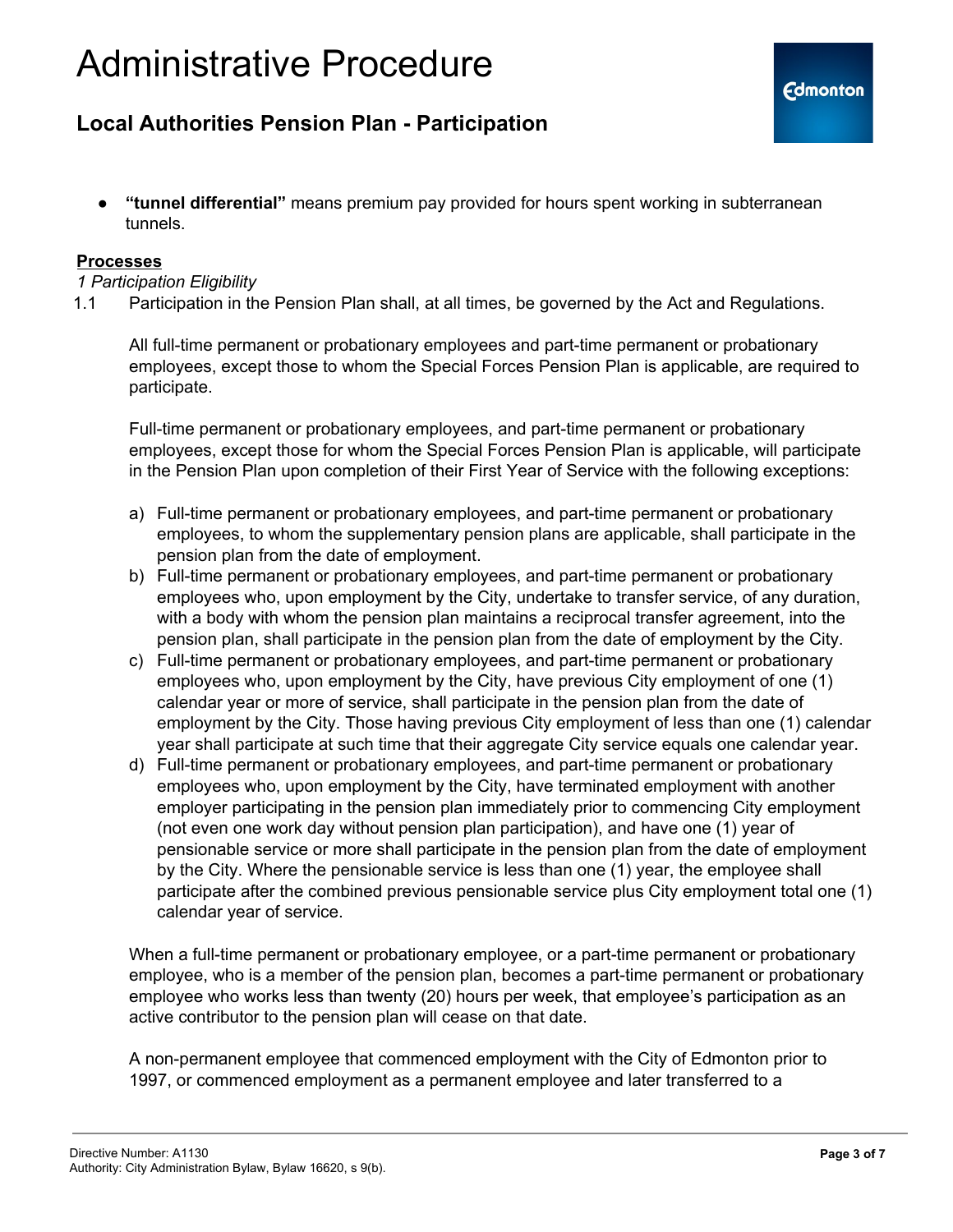### **Local Authorities Pension Plan - Participation**

● **"tunnel differential"** means premium pay provided for hours spent working in subterranean tunnels.

#### **Processes**

#### *1 Participation Eligibility*

1.1 Participation in the Pension Plan shall, at all times, be governed by the Act and Regulations.

All full-time permanent or probationary employees and part-time permanent or probationary employees, except those to whom the Special Forces Pension Plan is applicable, are required to participate.

Full-time permanent or probationary employees, and part-time permanent or probationary employees, except those for whom the Special Forces Pension Plan is applicable, will participate in the Pension Plan upon completion of their First Year of Service with the following exceptions:

- a) Full-time permanent or probationary employees, and part-time permanent or probationary employees, to whom the supplementary pension plans are applicable, shall participate in the pension plan from the date of employment.
- b) Full-time permanent or probationary employees, and part-time permanent or probationary employees who, upon employment by the City, undertake to transfer service, of any duration, with a body with whom the pension plan maintains a reciprocal transfer agreement, into the pension plan, shall participate in the pension plan from the date of employment by the City.
- c) Full-time permanent or probationary employees, and part-time permanent or probationary employees who, upon employment by the City, have previous City employment of one (1) calendar year or more of service, shall participate in the pension plan from the date of employment by the City. Those having previous City employment of less than one (1) calendar year shall participate at such time that their aggregate City service equals one calendar year.
- d) Full-time permanent or probationary employees, and part-time permanent or probationary employees who, upon employment by the City, have terminated employment with another employer participating in the pension plan immediately prior to commencing City employment (not even one work day without pension plan participation), and have one (1) year of pensionable service or more shall participate in the pension plan from the date of employment by the City. Where the pensionable service is less than one (1) year, the employee shall participate after the combined previous pensionable service plus City employment total one (1) calendar year of service.

When a full-time permanent or probationary employee, or a part-time permanent or probationary employee, who is a member of the pension plan, becomes a part-time permanent or probationary employee who works less than twenty (20) hours per week, that employee's participation as an active contributor to the pension plan will cease on that date.

A non-permanent employee that commenced employment with the City of Edmonton prior to 1997, or commenced employment as a permanent employee and later transferred to a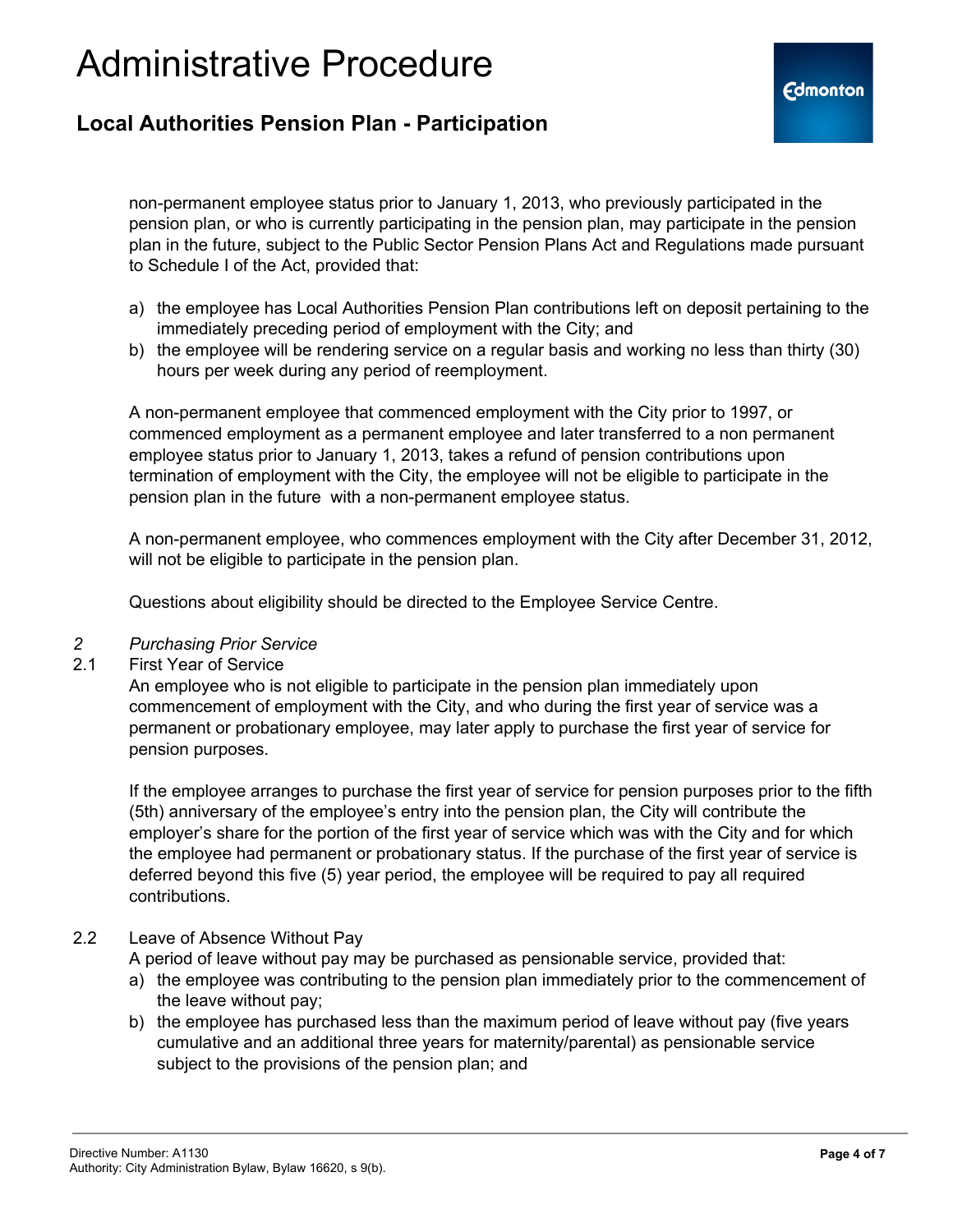### **Local Authorities Pension Plan - Participation**

non-permanent employee status prior to January 1, 2013, who previously participated in the pension plan, or who is currently participating in the pension plan, may participate in the pension plan in the future, subject to the Public Sector Pension Plans Act and Regulations made pursuant to Schedule I of the Act, provided that:

- a) the employee has Local Authorities Pension Plan contributions left on deposit pertaining to the immediately preceding period of employment with the City; and
- b) the employee will be rendering service on a regular basis and working no less than thirty (30) hours per week during any period of reemployment.

A non-permanent employee that commenced employment with the City prior to 1997, or commenced employment as a permanent employee and later transferred to a non permanent employee status prior to January 1, 2013, takes a refund of pension contributions upon termination of employment with the City, the employee will not be eligible to participate in the pension plan in the future with a non-permanent employee status.

A non-permanent employee, who commences employment with the City after December 31, 2012, will not be eligible to participate in the pension plan.

Questions about eligibility should be directed to the Employee Service Centre.

#### *2 Purchasing Prior Service*

#### 2.1 First Year of Service

An employee who is not eligible to participate in the pension plan immediately upon commencement of employment with the City, and who during the first year of service was a permanent or probationary employee, may later apply to purchase the first year of service for pension purposes.

If the employee arranges to purchase the first year of service for pension purposes prior to the fifth (5th) anniversary of the employee's entry into the pension plan, the City will contribute the employer's share for the portion of the first year of service which was with the City and for which the employee had permanent or probationary status. If the purchase of the first year of service is deferred beyond this five (5) year period, the employee will be required to pay all required contributions.

#### 2.2 Leave of Absence Without Pay

A period of leave without pay may be purchased as pensionable service, provided that:

- a) the employee was contributing to the pension plan immediately prior to the commencement of the leave without pay;
- b) the employee has purchased less than the maximum period of leave without pay (five years cumulative and an additional three years for maternity/parental) as pensionable service subject to the provisions of the pension plan; and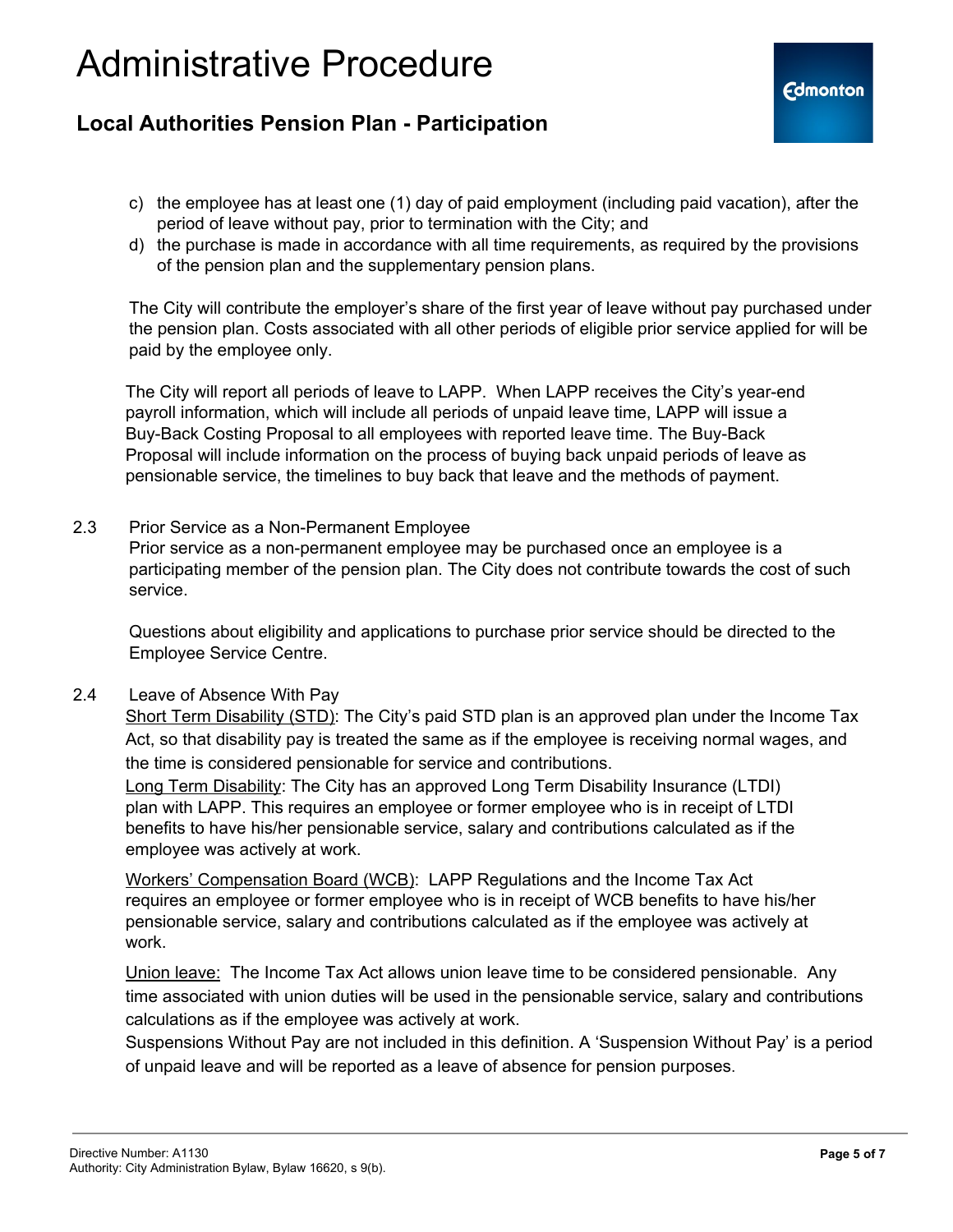### **Local Authorities Pension Plan - Participation**

- c) the employee has at least one (1) day of paid employment (including paid vacation), after the period of leave without pay, prior to termination with the City; and
- d) the purchase is made in accordance with all time requirements, as required by the provisions of the pension plan and the supplementary pension plans.

The City will contribute the employer's share of the first year of leave without pay purchased under the pension plan. Costs associated with all other periods of eligible prior service applied for will be paid by the employee only.

The City will report all periods of leave to LAPP. When LAPP receives the City's year-end payroll information, which will include all periods of unpaid leave time, LAPP will issue a Buy-Back Costing Proposal to all employees with reported leave time. The Buy-Back Proposal will include information on the process of buying back unpaid periods of leave as pensionable service, the timelines to buy back that leave and the methods of payment.

2.3 Prior Service as a Non-Permanent Employee

Prior service as a non-permanent employee may be purchased once an employee is a participating member of the pension plan. The City does not contribute towards the cost of such service.

Questions about eligibility and applications to purchase prior service should be directed to the Employee Service Centre.

2.4 Leave of Absence With Pay

Short Term Disability (STD): The City's paid STD plan is an approved plan under the Income Tax Act, so that disability pay is treated the same as if the employee is receiving normal wages, and the time is considered pensionable for service and contributions.

Long Term Disability: The City has an approved Long Term Disability Insurance (LTDI) plan with LAPP. This requires an employee or former employee who is in receipt of LTDI benefits to have his/her pensionable service, salary and contributions calculated as if the employee was actively at work.

Workers' Compensation Board (WCB): LAPP Regulations and the Income Tax Act requires an employee or former employee who is in receipt of WCB benefits to have his/her pensionable service, salary and contributions calculated as if the employee was actively at work.

Union leave: The Income Tax Act allows union leave time to be considered pensionable. Any time associated with union duties will be used in the pensionable service, salary and contributions calculations as if the employee was actively at work.

Suspensions Without Pay are not included in this definition. A 'Suspension Without Pay' is a period of unpaid leave and will be reported as a leave of absence for pension purposes.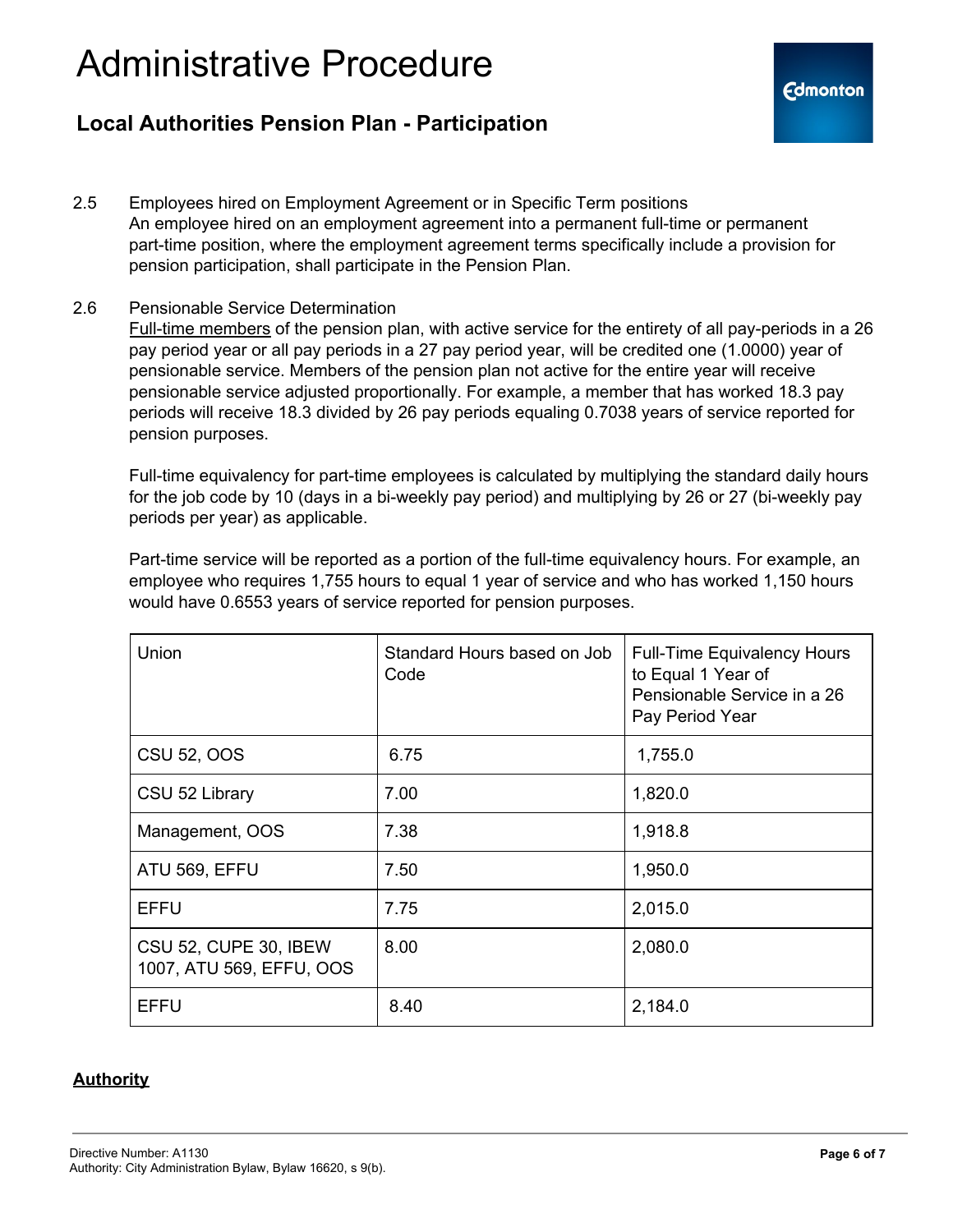### **Local Authorities Pension Plan - Participation**

- 2.5 Employees hired on Employment Agreement or in Specific Term positions An employee hired on an employment agreement into a permanent full-time or permanent part-time position, where the employment agreement terms specifically include a provision for pension participation, shall participate in the Pension Plan.
- 2.6 Pensionable Service Determination

Full-time members of the pension plan, with active service for the entirety of all pay-periods in a 26 pay period year or all pay periods in a 27 pay period year, will be credited one (1.0000) year of pensionable service. Members of the pension plan not active for the entire year will receive pensionable service adjusted proportionally. For example, a member that has worked 18.3 pay periods will receive 18.3 divided by 26 pay periods equaling 0.7038 years of service reported for pension purposes.

Full-time equivalency for part-time employees is calculated by multiplying the standard daily hours for the job code by 10 (days in a bi-weekly pay period) and multiplying by 26 or 27 (bi-weekly pay periods per year) as applicable.

Part-time service will be reported as a portion of the full-time equivalency hours. For example, an employee who requires 1,755 hours to equal 1 year of service and who has worked 1,150 hours would have 0.6553 years of service reported for pension purposes.

| Union                                             | Standard Hours based on Job<br>Code | <b>Full-Time Equivalency Hours</b><br>to Equal 1 Year of<br>Pensionable Service in a 26<br>Pay Period Year |
|---------------------------------------------------|-------------------------------------|------------------------------------------------------------------------------------------------------------|
| <b>CSU 52, OOS</b>                                | 6.75                                | 1,755.0                                                                                                    |
| CSU 52 Library                                    | 7.00                                | 1,820.0                                                                                                    |
| Management, OOS                                   | 7.38                                | 1,918.8                                                                                                    |
| ATU 569, EFFU                                     | 7.50                                | 1,950.0                                                                                                    |
| <b>EFFU</b>                                       | 7.75                                | 2,015.0                                                                                                    |
| CSU 52, CUPE 30, IBEW<br>1007, ATU 569, EFFU, OOS | 8.00                                | 2,080.0                                                                                                    |
| <b>EFFU</b>                                       | 8.40                                | 2,184.0                                                                                                    |

#### **Authority**